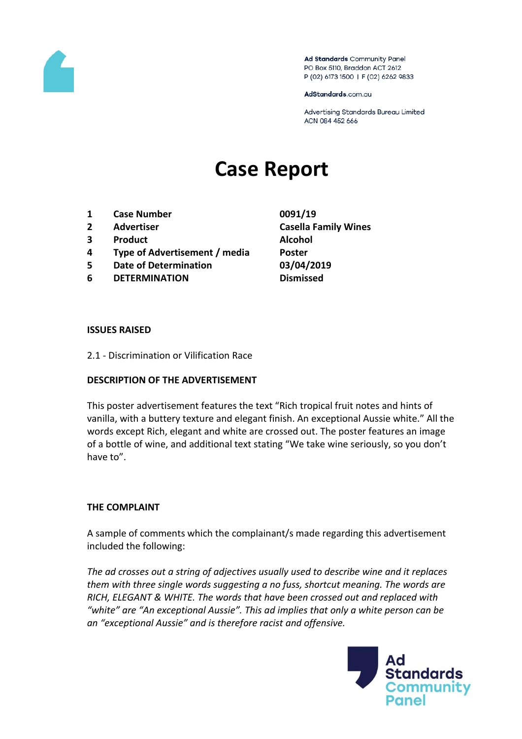

Ad Standards Community Panel PO Box 5110, Braddon ACT 2612 P (02) 6173 1500 | F (02) 6262 9833

AdStandards.com.au

Advertising Standards Bureau Limited ACN 084 452 666

# **Case Report**

- **1 Case Number 0091/19**
- 
- **3 Product Alcohol**
- **4 Type of Advertisement / media Poster**
- **5 Date of Determination 03/04/2019**
- **6 DETERMINATION Dismissed**
- **2 Advertiser Casella Family Wines**

#### **ISSUES RAISED**

2.1 - Discrimination or Vilification Race

## **DESCRIPTION OF THE ADVERTISEMENT**

This poster advertisement features the text "Rich tropical fruit notes and hints of vanilla, with a buttery texture and elegant finish. An exceptional Aussie white." All the words except Rich, elegant and white are crossed out. The poster features an image of a bottle of wine, and additional text stating "We take wine seriously, so you don't have to".

## **THE COMPLAINT**

A sample of comments which the complainant/s made regarding this advertisement included the following:

*The ad crosses out a string of adjectives usually used to describe wine and it replaces them with three single words suggesting a no fuss, shortcut meaning. The words are RICH, ELEGANT & WHITE. The words that have been crossed out and replaced with "white" are "An exceptional Aussie". This ad implies that only a white person can be an "exceptional Aussie" and is therefore racist and offensive.*

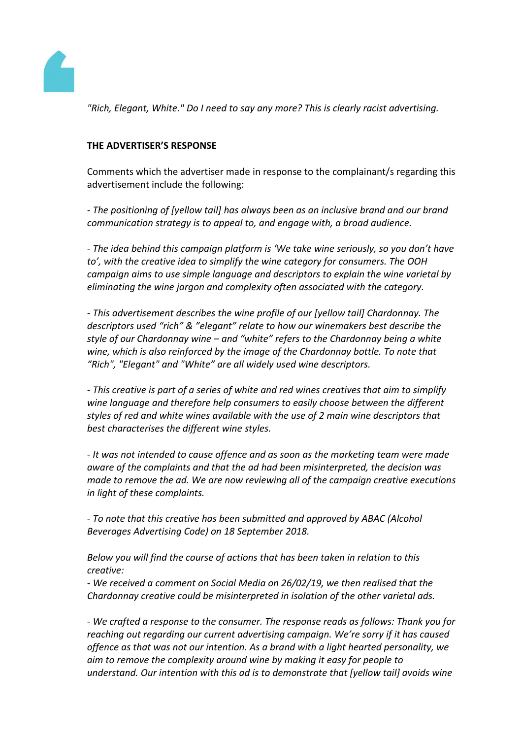

*"Rich, Elegant, White." Do I need to say any more? This is clearly racist advertising.*

# **THE ADVERTISER'S RESPONSE**

Comments which the advertiser made in response to the complainant/s regarding this advertisement include the following:

*- The positioning of [yellow tail] has always been as an inclusive brand and our brand communication strategy is to appeal to, and engage with, a broad audience.*

*- The idea behind this campaign platform is 'We take wine seriously, so you don't have to', with the creative idea to simplify the wine category for consumers. The OOH campaign aims to use simple language and descriptors to explain the wine varietal by eliminating the wine jargon and complexity often associated with the category.*

*- This advertisement describes the wine profile of our [yellow tail] Chardonnay. The descriptors used "rich" & "elegant" relate to how our winemakers best describe the style of our Chardonnay wine – and "white" refers to the Chardonnay being a white wine, which is also reinforced by the image of the Chardonnay bottle. To note that "Rich", "Elegant" and "White" are all widely used wine descriptors.*

*- This creative is part of a series of white and red wines creatives that aim to simplify wine language and therefore help consumers to easily choose between the different styles of red and white wines available with the use of 2 main wine descriptors that best characterises the different wine styles.*

*- It was not intended to cause offence and as soon as the marketing team were made aware of the complaints and that the ad had been misinterpreted, the decision was made to remove the ad. We are now reviewing all of the campaign creative executions in light of these complaints.*

*- To note that this creative has been submitted and approved by ABAC (Alcohol Beverages Advertising Code) on 18 September 2018.*

*Below you will find the course of actions that has been taken in relation to this creative:*

*- We received a comment on Social Media on 26/02/19, we then realised that the Chardonnay creative could be misinterpreted in isolation of the other varietal ads.*

*- We crafted a response to the consumer. The response reads as follows: Thank you for reaching out regarding our current advertising campaign. We're sorry if it has caused offence as that was not our intention. As a brand with a light hearted personality, we aim to remove the complexity around wine by making it easy for people to understand. Our intention with this ad is to demonstrate that [yellow tail] avoids wine*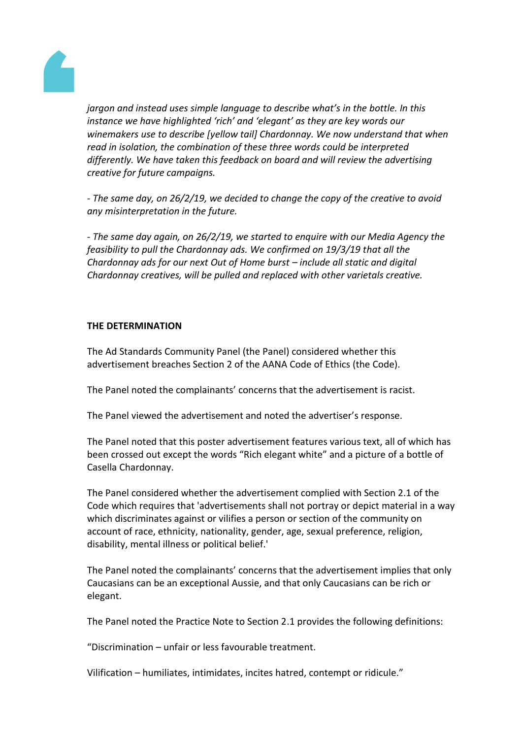

*jargon and instead uses simple language to describe what's in the bottle. In this instance we have highlighted 'rich' and 'elegant' as they are key words our winemakers use to describe [yellow tail] Chardonnay. We now understand that when read in isolation, the combination of these three words could be interpreted differently. We have taken this feedback on board and will review the advertising creative for future campaigns.*

*- The same day, on 26/2/19, we decided to change the copy of the creative to avoid any misinterpretation in the future.*

*- The same day again, on 26/2/19, we started to enquire with our Media Agency the feasibility to pull the Chardonnay ads. We confirmed on 19/3/19 that all the Chardonnay ads for our next Out of Home burst – include all static and digital Chardonnay creatives, will be pulled and replaced with other varietals creative.*

# **THE DETERMINATION**

The Ad Standards Community Panel (the Panel) considered whether this advertisement breaches Section 2 of the AANA Code of Ethics (the Code).

The Panel noted the complainants' concerns that the advertisement is racist.

The Panel viewed the advertisement and noted the advertiser's response.

The Panel noted that this poster advertisement features various text, all of which has been crossed out except the words "Rich elegant white" and a picture of a bottle of Casella Chardonnay.

The Panel considered whether the advertisement complied with Section 2.1 of the Code which requires that 'advertisements shall not portray or depict material in a way which discriminates against or vilifies a person or section of the community on account of race, ethnicity, nationality, gender, age, sexual preference, religion, disability, mental illness or political belief.'

The Panel noted the complainants' concerns that the advertisement implies that only Caucasians can be an exceptional Aussie, and that only Caucasians can be rich or elegant.

The Panel noted the Practice Note to Section 2.1 provides the following definitions:

"Discrimination – unfair or less favourable treatment.

Vilification – humiliates, intimidates, incites hatred, contempt or ridicule."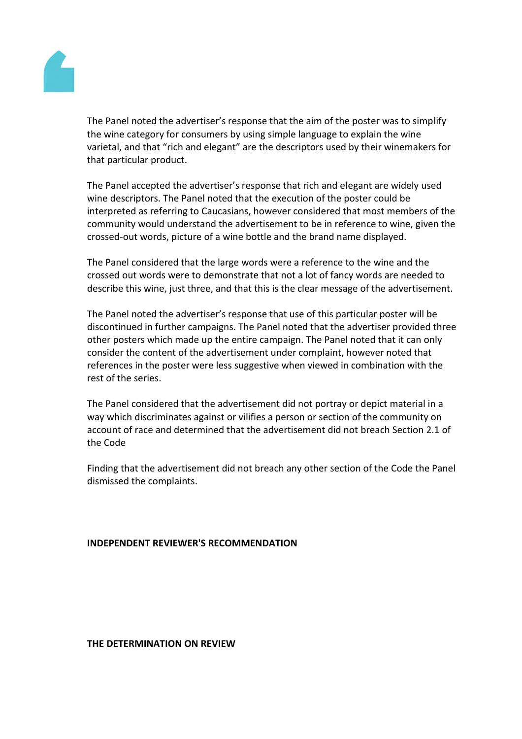

The Panel noted the advertiser's response that the aim of the poster was to simplify the wine category for consumers by using simple language to explain the wine varietal, and that "rich and elegant" are the descriptors used by their winemakers for that particular product.

The Panel accepted the advertiser's response that rich and elegant are widely used wine descriptors. The Panel noted that the execution of the poster could be interpreted as referring to Caucasians, however considered that most members of the community would understand the advertisement to be in reference to wine, given the crossed-out words, picture of a wine bottle and the brand name displayed.

The Panel considered that the large words were a reference to the wine and the crossed out words were to demonstrate that not a lot of fancy words are needed to describe this wine, just three, and that this is the clear message of the advertisement.

The Panel noted the advertiser's response that use of this particular poster will be discontinued in further campaigns. The Panel noted that the advertiser provided three other posters which made up the entire campaign. The Panel noted that it can only consider the content of the advertisement under complaint, however noted that references in the poster were less suggestive when viewed in combination with the rest of the series.

The Panel considered that the advertisement did not portray or depict material in a way which discriminates against or vilifies a person or section of the community on account of race and determined that the advertisement did not breach Section 2.1 of the Code

Finding that the advertisement did not breach any other section of the Code the Panel dismissed the complaints.

## **INDEPENDENT REVIEWER'S RECOMMENDATION**

#### **THE DETERMINATION ON REVIEW**